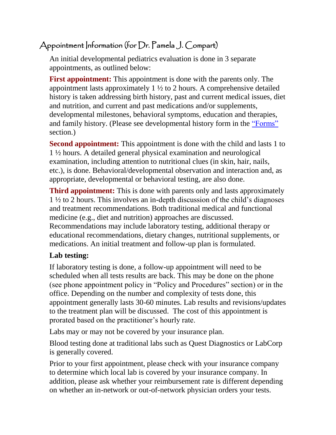## Appointment Information (for Dr. Pamela J. Compart)

An initial developmental pediatrics evaluation is done in 3 separate appointments, as outlined below:

**First appointment:** This appointment is done with the parents only. The appointment lasts approximately  $1\frac{1}{2}$  to 2 hours. A comprehensive detailed history is taken addressing birth history, past and current medical issues, diet and nutrition, and current and past medications and/or supplements, developmental milestones, behavioral symptoms, education and therapies, and family history. (Please see developmental history form in the ["Forms"](file:///E:/pcompart/From%20C%20Drive/forms.htm) section.)

**Second appointment:** This appointment is done with the child and lasts 1 to 1 ½ hours. A detailed general physical examination and neurological examination, including attention to nutritional clues (in skin, hair, nails, etc.), is done. Behavioral/developmental observation and interaction and, as appropriate, developmental or behavioral testing, are also done.

**Third appointment:** This is done with parents only and lasts approximately 1 ½ to 2 hours. This involves an in-depth discussion of the child's diagnoses and treatment recommendations. Both traditional medical and functional medicine (e.g., diet and nutrition) approaches are discussed. Recommendations may include laboratory testing, additional therapy or educational recommendations, dietary changes, nutritional supplements, or medications. An initial treatment and follow-up plan is formulated.

## **Lab testing:**

If laboratory testing is done, a follow-up appointment will need to be scheduled when all tests results are back. This may be done on the phone (see phone appointment policy in "Policy and Procedures" section) or in the office. Depending on the number and complexity of tests done, this appointment generally lasts 30-60 minutes. Lab results and revisions/updates to the treatment plan will be discussed. The cost of this appointment is prorated based on the practitioner's hourly rate.

Labs may or may not be covered by your insurance plan.

Blood testing done at traditional labs such as Quest Diagnostics or LabCorp is generally covered.

Prior to your first appointment, please check with your insurance company to determine which local lab is covered by your insurance company. In addition, please ask whether your reimbursement rate is different depending on whether an in-network or out-of-network physician orders your tests.